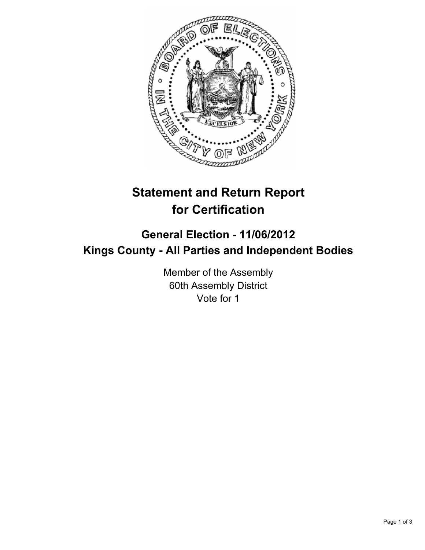

## **Statement and Return Report for Certification**

## **General Election - 11/06/2012 Kings County - All Parties and Independent Bodies**

Member of the Assembly 60th Assembly District Vote for 1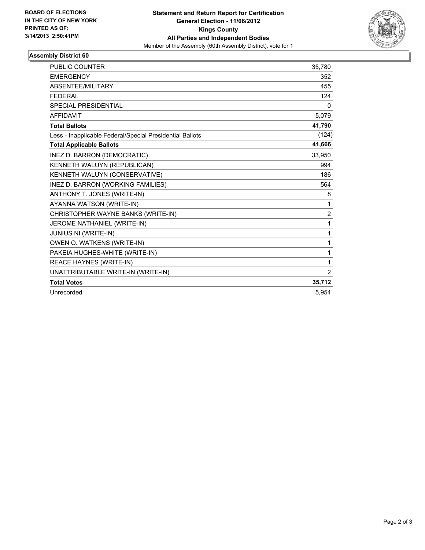

## **Assembly District 60**

| PUBLIC COUNTER                                           | 35,780         |
|----------------------------------------------------------|----------------|
| <b>EMERGENCY</b>                                         | 352            |
| <b>ABSENTEE/MILITARY</b>                                 | 455            |
| <b>FEDERAL</b>                                           | 124            |
| <b>SPECIAL PRESIDENTIAL</b>                              | $\mathbf{0}$   |
| <b>AFFIDAVIT</b>                                         | 5,079          |
| <b>Total Ballots</b>                                     | 41,790         |
| Less - Inapplicable Federal/Special Presidential Ballots | (124)          |
| <b>Total Applicable Ballots</b>                          | 41,666         |
| INEZ D. BARRON (DEMOCRATIC)                              | 33,950         |
| KENNETH WALUYN (REPUBLICAN)                              | 994            |
| KENNETH WALUYN (CONSERVATIVE)                            | 186            |
| INEZ D. BARRON (WORKING FAMILIES)                        | 564            |
| ANTHONY T. JONES (WRITE-IN)                              | 8              |
| AYANNA WATSON (WRITE-IN)                                 | 1              |
| CHRISTOPHER WAYNE BANKS (WRITE-IN)                       | $\overline{2}$ |
| JEROME NATHANIEL (WRITE-IN)                              | 1              |
| JUNIUS NI (WRITE-IN)                                     | 1              |
| OWEN O. WATKENS (WRITE-IN)                               | 1              |
| PAKEIA HUGHES-WHITE (WRITE-IN)                           | 1              |
| REACE HAYNES (WRITE-IN)                                  | 1              |
| UNATTRIBUTABLE WRITE-IN (WRITE-IN)                       | 2              |
| <b>Total Votes</b>                                       | 35,712         |
| Unrecorded                                               | 5.954          |